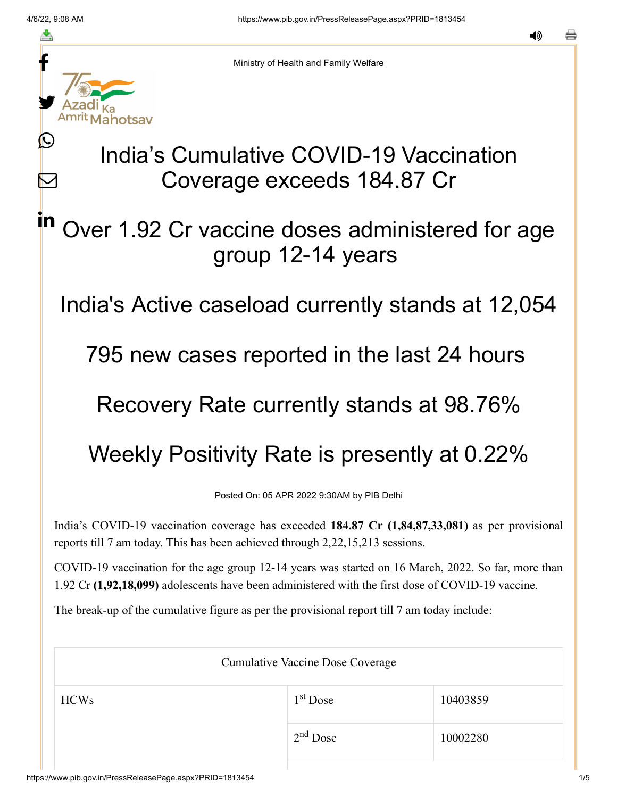Ŀ

 $\bm{\nabla}$ 

in



Ministry of Health and Family Welfare

# India's Cumulative COVID-19 Vaccination Coverage exceeds 184.87 Cr

## Over 1.92 Cr vaccine doses administered for age group 12-14 years

India's Active caseload currently stands at 12,054

795 new cases reported in the last 24 hours

### Recovery Rate currently stands at 98.76%

## Weekly Positivity Rate is presently at 0.22%

Posted On: 05 APR 2022 9:30AM by PIB Delhi

India's COVID-19 vaccination coverage has exceeded **184.87 Cr (1,84,87,33,081)** as per provisional reports till 7 am today. This has been achieved through 2,22,15,213 sessions.

COVID-19 vaccination for the age group 12-14 years was started on 16 March, 2022. So far, more than 1.92 Cr **(1,92,18,099)** adolescents have been administered with the first dose of COVID-19 vaccine.

The break-up of the cumulative figure as per the provisional report till 7 am today include:

| <b>Cumulative Vaccine Dose Coverage</b> |            |          |  |
|-----------------------------------------|------------|----------|--|
| <b>HCWs</b>                             | $1st$ Dose | 10403859 |  |
|                                         | $2nd$ Dose | 10002280 |  |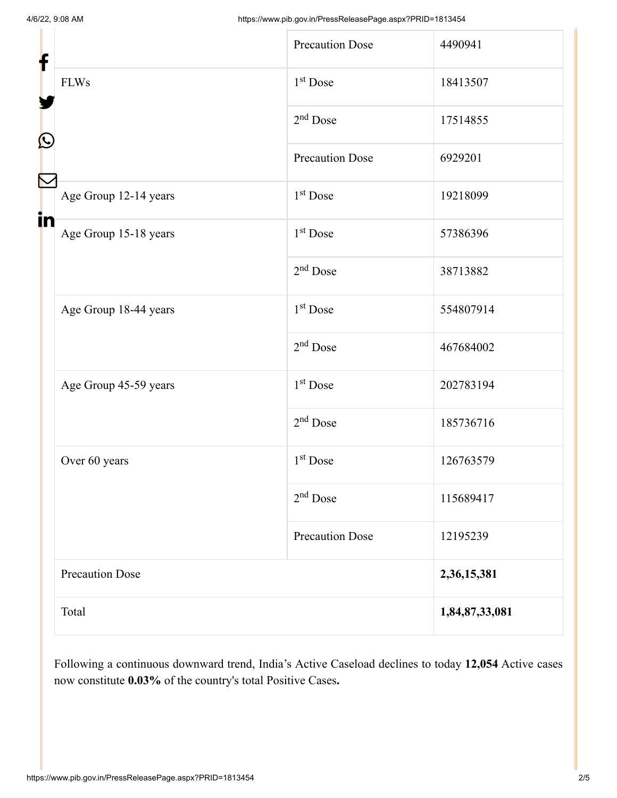| f                                | <b>Precaution Dose</b> | 4490941        |
|----------------------------------|------------------------|----------------|
| <b>FLWs</b><br>$\mathbf{\Omega}$ | 1 <sup>st</sup> Dose   | 18413507       |
|                                  | $2nd$ Dose             | 17514855       |
|                                  | <b>Precaution Dose</b> | 6929201        |
| Age Group 12-14 years            | 1 <sup>st</sup> Dose   | 19218099       |
| in<br>Age Group 15-18 years      | $1st$ Dose             | 57386396       |
|                                  | $2nd$ Dose             | 38713882       |
| Age Group 18-44 years            | 1 <sup>st</sup> Dose   | 554807914      |
|                                  | $2nd$ Dose             | 467684002      |
| Age Group 45-59 years            | 1 <sup>st</sup> Dose   | 202783194      |
|                                  | $2nd$ Dose             | 185736716      |
| Over 60 years                    | $1st$ Dose             | 126763579      |
|                                  | $2nd$ Dose             | 115689417      |
|                                  | <b>Precaution Dose</b> | 12195239       |
| <b>Precaution Dose</b>           |                        | 2,36,15,381    |
| Total                            |                        | 1,84,87,33,081 |

Following a continuous downward trend, India's Active Caseload declines to today **12,054** Active cases now constitute **0.03%** of the country's total Positive Cases**.**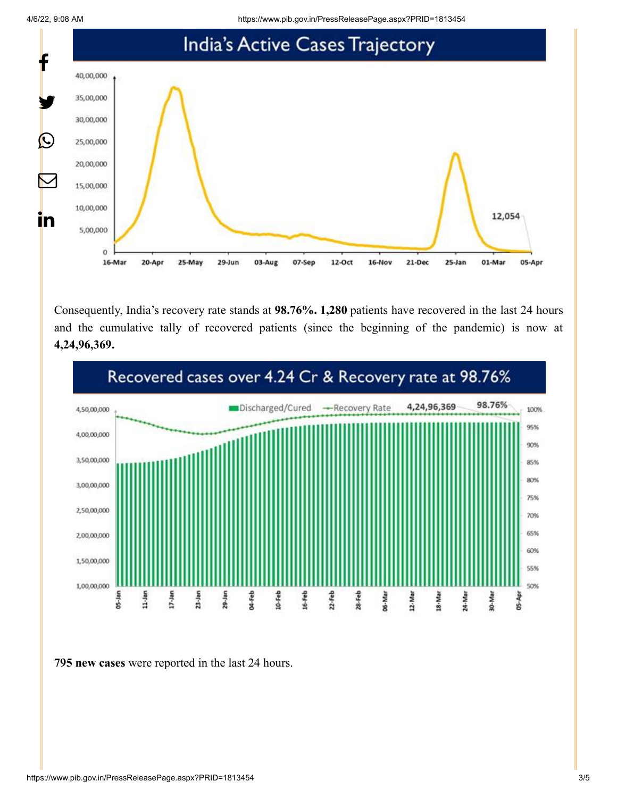4/6/22, 9:08 AM https://www.pib.gov.in/PressReleasePage.aspx?PRID=1813454



Consequently, India's recovery rate stands at **98.76%. 1,280** patients have recovered in the last 24 hours and the cumulative tally of recovered patients (since the beginning of the pandemic) is now at **4,24,96,369.**



**795 new cases** were reported in the last 24 hours.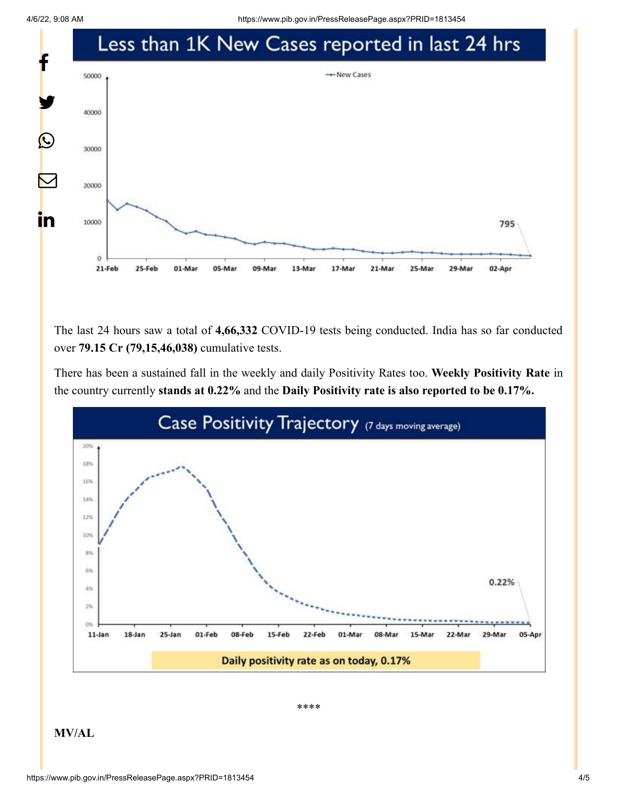4/6/22, 9:08 AM https://www.pib.gov.in/PressReleasePage.aspx?PRID=1813454



The last 24 hours saw a total of **4,66,332** COVID-19 tests being conducted. India has so far conducted over **79.15 Cr (79,15,46,038)** cumulative tests.

There has been a sustained fall in the weekly and daily Positivity Rates too. **Weekly Positivity Rate** in the country currently **stands at 0.22%** and the **Daily Positivity rate is also reported to be 0.17%.**



\*\*\*\*

**MV/AL**